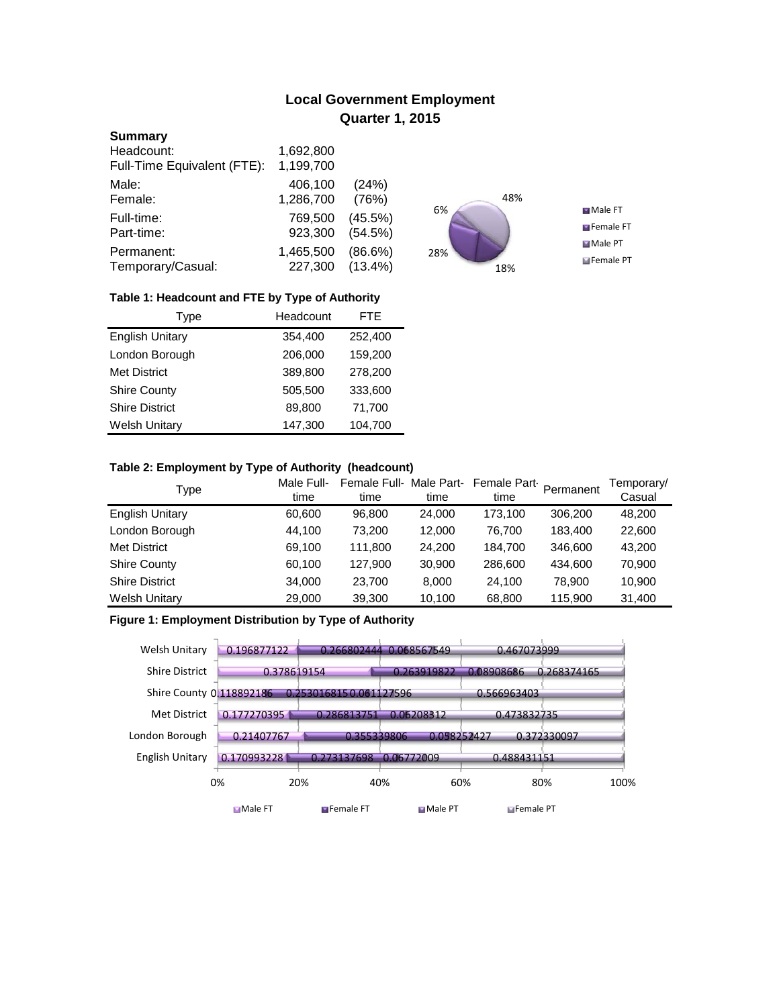# **Local Government Employment Quarter 1, 2015**

#### **Summary**

| Headcount:<br>Full-Time Equivalent (FTE): | 1,692,800<br>1,199,700 |            |
|-------------------------------------------|------------------------|------------|
| Male:                                     | 406,100                | (24%)      |
| Female:                                   | 1,286,700              | (76%)      |
| Full-time:                                | 769,500                | $(45.5\%)$ |
| Part-time:                                | 923,300                | (54.5%)    |
| Permanent:                                | 1,465,500              | $(86.6\%)$ |
| Temporary/Casual:                         | 227,300                | $(13.4\%)$ |



## **Table 1: Headcount and FTE by Type of Authority**

| Type                   | Headcount | FTE.    |
|------------------------|-----------|---------|
| <b>English Unitary</b> | 354,400   | 252,400 |
| London Borough         | 206,000   | 159,200 |
| Met District           | 389,800   | 278,200 |
| <b>Shire County</b>    | 505.500   | 333,600 |
| <b>Shire District</b>  | 89,800    | 71,700  |
| <b>Welsh Unitary</b>   | 147,300   | 104,700 |

### **Table 2: Employment by Type of Authority (headcount)**

| Type                   | Male Full-<br>time | Female Full-Male Part-<br>time | time   | Female Part-<br>time | Permanent | Temporary/<br>Casual |
|------------------------|--------------------|--------------------------------|--------|----------------------|-----------|----------------------|
| <b>English Unitary</b> | 60,600             | 96.800                         | 24,000 | 173.100              | 306.200   | 48,200               |
| London Borough         | 44,100             | 73.200                         | 12,000 | 76.700               | 183,400   | 22,600               |
| <b>Met District</b>    | 69,100             | 111.800                        | 24.200 | 184.700              | 346,600   | 43.200               |
| <b>Shire County</b>    | 60,100             | 127,900                        | 30,900 | 286,600              | 434,600   | 70,900               |
| <b>Shire District</b>  | 34,000             | 23.700                         | 8.000  | 24.100               | 78,900    | 10,900               |
| <b>Welsh Unitary</b>   | 29,000             | 39,300                         | 10,100 | 68,800               | 115.900   | 31,400               |

### **Figure 1: Employment Distribution by Type of Authority**

| Welsh Unitary            | 0.196877122    |                        | 0.266802444 0.068567549 | 0.467073999         |             |
|--------------------------|----------------|------------------------|-------------------------|---------------------|-------------|
| <b>Shire District</b>    | 0.378619154    |                        | 0.263919822             | 0.08908686          | 0.268374165 |
| Shire County 0.118892186 |                | 0.2530168150.061127596 |                         | 0.566963403         |             |
| Met District             | 0.177270395    | 0.286813751            | 0.06208312              | 0.473832735         |             |
| London Borough           | 0.21407767     | 0.355339806            | 0.058252427             |                     | 0.372330097 |
| English Unitary          | 0.170993228    | 0.273137698            | 0.06772009              | 0.488431151         |             |
| 0%                       |                | 20%                    | 40%<br>60%              |                     | 80%<br>100% |
|                          | <b>Male FT</b> | <b>E</b> Female FT     | Male PT                 | <b>El</b> Female PT |             |